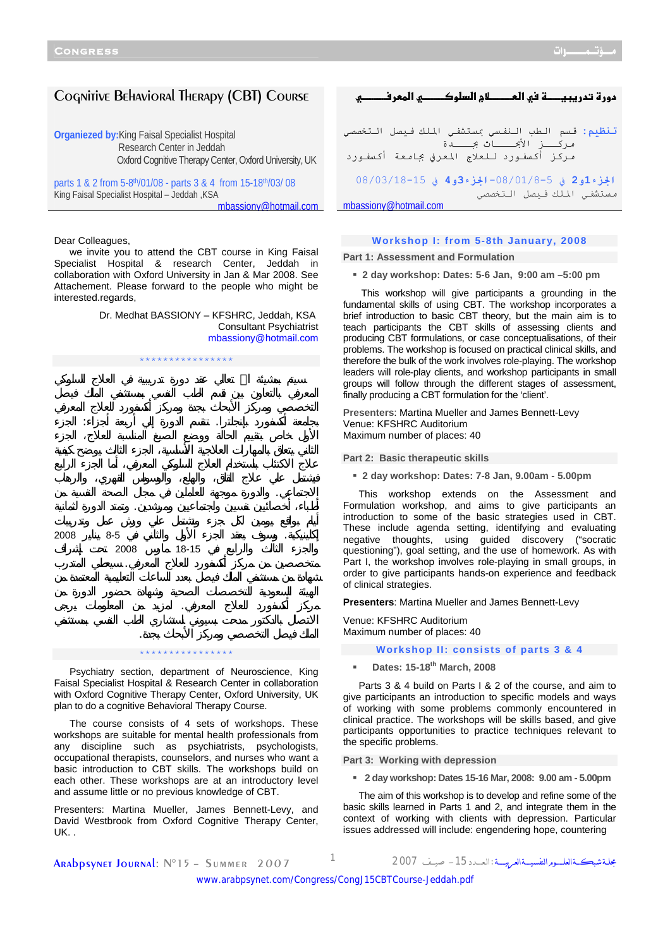# Cognitive Behavioral Therapy (CBT) Course

**Organiezed by:**King Faisal Specialist Hospital Research Center in Jeddah Oxford Cognitive Therapy Center, Oxford University, UK

parts 1 & 2 from 5-8th/01/08 - parts 3 & 4 from 15-18th/03/ 08 King Faisal Specialist Hospital – Jeddah ,KSA mbassiony@hotmail.com

Dear Colleagues,

we invite you to attend the CBT course in King Faisal Specialist Hospital & research Center, Jeddah in collaboration with Oxford University in Jan & Mar 2008. See Attachement. Please forward to the people who might be interested.regards,

> Dr. Medhat BASSIONY – KFSHRC, Jeddah, KSA Consultant Psychiatrist mbassiony@hotmail.com



#### \*\*\*\*\*\*\*\*\*\*\*\*\*\*\*\*

Psychiatry section, department of Neuroscience, King Faisal Specialist Hospital & Research Center in collaboration with Oxford Cognitive Therapy Center, Oxford University, UK plan to do a cognitive Behavioral Therapy Course.

The course consists of 4 sets of workshops. These workshops are suitable for mental health professionals from any discipline such as psychiatrists, psychologists, occupational therapists, counselors, and nurses who want a basic introduction to CBT skills. The workshops build on each other. These workshops are at an introductory level and assume little or no previous knowledge of CBT.

Presenters: Martina Mueller, James Bennett-Levy, and David Westbrook from Oxford Cognitive Therapy Center, UK. .

**1
hא1{ אc8א1
hf`h}f تنظيم:** قسم الطب النفسي بمستشفي الملك فيصل التخصصي مركـــز الأبحـــاث بجــــدة مركز أكسفورد للعلاج المعرفي بجامعة أكسفورد **الجزء1و2** في -08/01/8-5**الجزء3و4** في 08/03/18-15 مستشفي الملك فيصل التخصصي mbassiony@hotmail.com

### **Workshop I: from 5-8th January, 2008**

**Part 1: Assessment and Formulation** 

**2 day workshop: Dates: 5-6 Jan, 9:00 am –5:00 pm** 

 This workshop will give participants a grounding in the fundamental skills of using CBT. The workshop incorporates a brief introduction to basic CBT theory, but the main aim is to teach participants the CBT skills of assessing clients and producing CBT formulations, or case conceptualisations, of their problems. The workshop is focused on practical clinical skills, and therefore the bulk of the work involves role-playing. The workshop leaders will role-play clients, and workshop participants in small groups will follow through the different stages of assessment, finally producing a CBT formulation for the 'client'.

**Presenters**: Martina Mueller and James Bennett-Levy Venue: KFSHRC Auditorium Maximum number of places: 40

**Part 2: Basic therapeutic skills** 

**2 day workshop: Dates: 7-8 Jan, 9.00am - 5.00pm** 

This workshop extends on the Assessment and Formulation workshop, and aims to give participants an introduction to some of the basic strategies used in CBT. These include agenda setting, identifying and evaluating negative thoughts, using guided discovery ("socratic questioning"), goal setting, and the use of homework. As with Part I, the workshop involves role-playing in small groups, in order to give participants hands-on experience and feedback of clinical strategies.

**Presenters**: Martina Mueller and James Bennett-Levy

Venue: KFSHRC Auditorium Maximum number of places: 40

**Workshop II: consists of parts 3 & 4** 

# **Dates: 15-18th March, 2008**

Parts 3 & 4 build on Parts I & 2 of the course, and aim to give participants an introduction to specific models and ways of working with some problems commonly encountered in clinical practice. The workshops will be skills based, and give participants opportunities to practice techniques relevant to the specific problems.

**Part 3: Working with depression**

**2 day workshop: Dates 15-16 Mar, 2008: 9.00 am - 5.00pm** 

The aim of this workshop is to develop and refine some of the basic skills learned in Parts 1 and 2, and integrate them in the context of working with clients with depression. Particular issues addressed will include: engendering hope, countering

Arabpsynet Journal: N°15 – Summer 2007 <sup>1</sup> <sup>2007</sup> صيـــف -15الـعــــدد: مجلــةشبكـــةالعلــــــومالنفسيــــةالعربيـــــة

<www.arabpsynet.com/Congress/CongJ15CBTCourse-Jeddah.pdf>